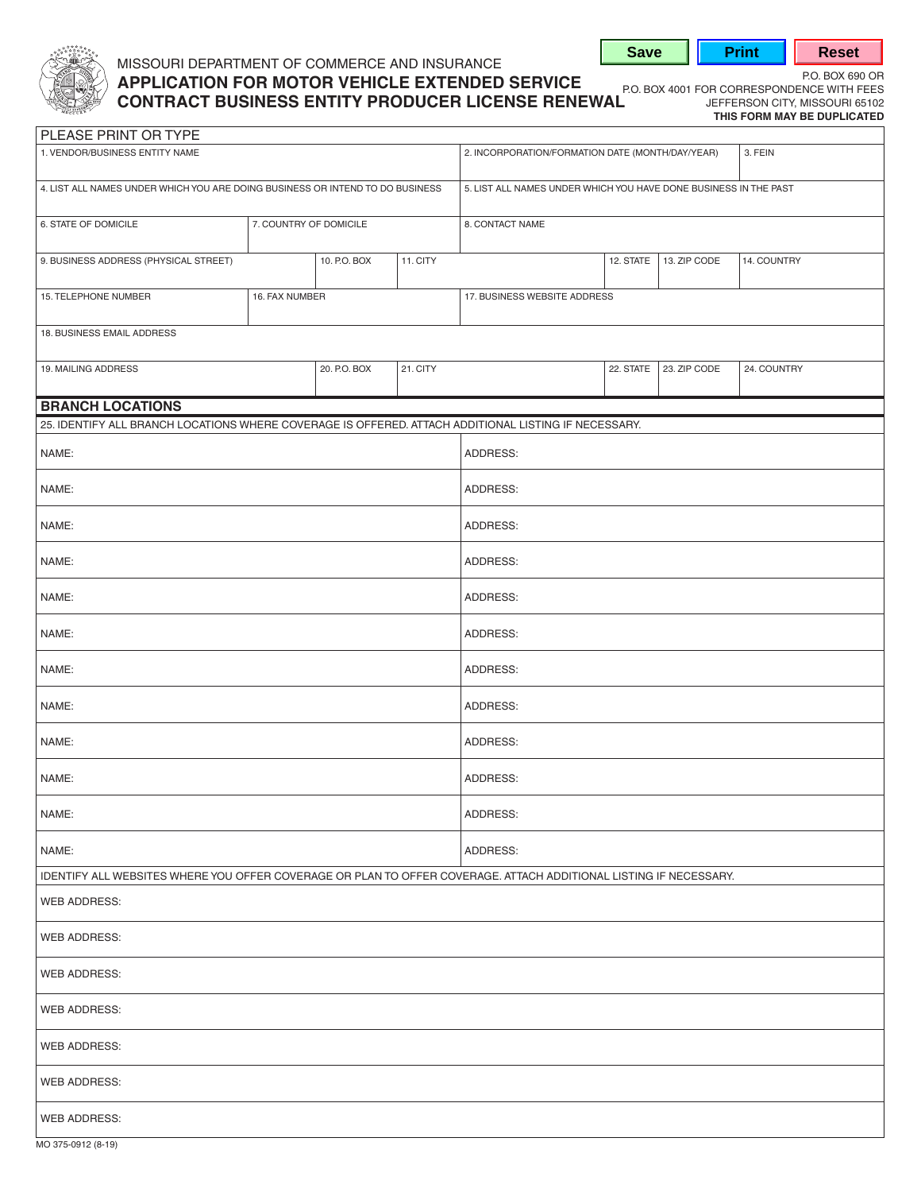

## MISSOURI DEPARTMENT OF COMMERCE AND INSURANCE **APPLICATION FOR MOTOR VEHICLE EXTENDED SERVICE**<br>**P.O. BOX 4001 FOR CORRESPONDENCE WITH FEES CONTRACT BUSINESS ENTITY PRODUCER LICENSE RENEWAL** JEFFERSON CITY, MISSOURI 65102

**THIS FORM MAY BE DUPLICATED** 

**Save | Print | Reset** 

| PLEASE PRINT OR TYPE                                                                                              |                        |              |          |                                                                  |           |              |             |  |
|-------------------------------------------------------------------------------------------------------------------|------------------------|--------------|----------|------------------------------------------------------------------|-----------|--------------|-------------|--|
| 1. VENDOR/BUSINESS ENTITY NAME                                                                                    |                        |              |          | 2. INCORPORATION/FORMATION DATE (MONTH/DAY/YEAR)<br>3. FEIN      |           |              |             |  |
| 4. LIST ALL NAMES UNDER WHICH YOU ARE DOING BUSINESS OR INTEND TO DO BUSINESS                                     |                        |              |          | 5. LIST ALL NAMES UNDER WHICH YOU HAVE DONE BUSINESS IN THE PAST |           |              |             |  |
| 6. STATE OF DOMICILE                                                                                              | 7. COUNTRY OF DOMICILE |              |          | 8. CONTACT NAME                                                  |           |              |             |  |
| 9. BUSINESS ADDRESS (PHYSICAL STREET)                                                                             |                        | 10. P.O. BOX | 11. CITY |                                                                  | 12. STATE | 13. ZIP CODE | 14. COUNTRY |  |
| 15. TELEPHONE NUMBER                                                                                              | 16. FAX NUMBER         |              |          | 17. BUSINESS WEBSITE ADDRESS                                     |           |              |             |  |
| 18. BUSINESS EMAIL ADDRESS                                                                                        |                        |              |          |                                                                  |           |              |             |  |
| 19. MAILING ADDRESS                                                                                               |                        | 20. P.O. BOX | 21. CITY |                                                                  | 22. STATE | 23. ZIP CODE | 24. COUNTRY |  |
| <b>BRANCH LOCATIONS</b>                                                                                           |                        |              |          |                                                                  |           |              |             |  |
| 25. IDENTIFY ALL BRANCH LOCATIONS WHERE COVERAGE IS OFFERED. ATTACH ADDITIONAL LISTING IF NECESSARY.              |                        |              |          |                                                                  |           |              |             |  |
| NAME:                                                                                                             |                        |              |          | ADDRESS:                                                         |           |              |             |  |
| NAME:                                                                                                             |                        |              |          | ADDRESS:                                                         |           |              |             |  |
| NAME:                                                                                                             |                        |              |          | ADDRESS:                                                         |           |              |             |  |
| NAME:                                                                                                             |                        |              |          | ADDRESS:                                                         |           |              |             |  |
| NAME:                                                                                                             |                        |              |          | ADDRESS:                                                         |           |              |             |  |
| NAME:                                                                                                             |                        |              |          | ADDRESS:                                                         |           |              |             |  |
| NAME:                                                                                                             |                        |              |          | ADDRESS:                                                         |           |              |             |  |
| NAME:                                                                                                             |                        |              |          | ADDRESS:                                                         |           |              |             |  |
| NAME:                                                                                                             |                        |              | ADDRESS: |                                                                  |           |              |             |  |
| NAME:                                                                                                             |                        |              | ADDRESS: |                                                                  |           |              |             |  |
| NAME:                                                                                                             |                        |              |          | ADDRESS:                                                         |           |              |             |  |
| NAME:                                                                                                             |                        |              |          | ADDRESS:                                                         |           |              |             |  |
| IDENTIFY ALL WEBSITES WHERE YOU OFFER COVERAGE OR PLAN TO OFFER COVERAGE. ATTACH ADDITIONAL LISTING IF NECESSARY. |                        |              |          |                                                                  |           |              |             |  |
| <b>WEB ADDRESS:</b>                                                                                               |                        |              |          |                                                                  |           |              |             |  |
| WEB ADDRESS:                                                                                                      |                        |              |          |                                                                  |           |              |             |  |
| <b>WEB ADDRESS:</b>                                                                                               |                        |              |          |                                                                  |           |              |             |  |
| WEB ADDRESS:                                                                                                      |                        |              |          |                                                                  |           |              |             |  |
| WEB ADDRESS:                                                                                                      |                        |              |          |                                                                  |           |              |             |  |
| WEB ADDRESS:                                                                                                      |                        |              |          |                                                                  |           |              |             |  |
| WEB ADDRESS:                                                                                                      |                        |              |          |                                                                  |           |              |             |  |
| MO 375-0912 (8-19)                                                                                                |                        |              |          |                                                                  |           |              |             |  |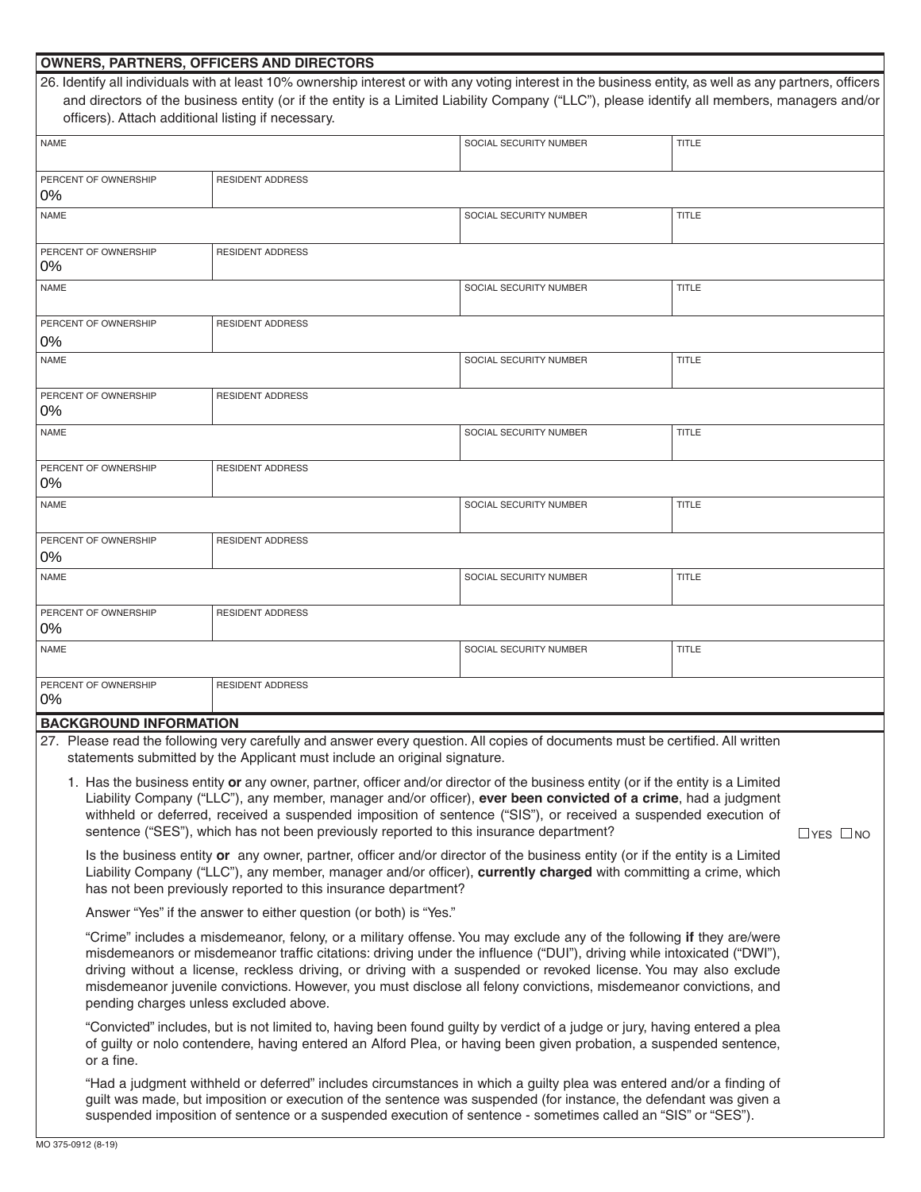| <b>OWNERS, PARTNERS, OFFICERS AND DIRECTORS</b>                                                                                                                                                                                                   |                                                                                                                                             |                        |              |  |  |  |
|---------------------------------------------------------------------------------------------------------------------------------------------------------------------------------------------------------------------------------------------------|---------------------------------------------------------------------------------------------------------------------------------------------|------------------------|--------------|--|--|--|
| 26. Identify all individuals with at least 10% ownership interest or with any voting interest in the business entity, as well as any partners, officers                                                                                           |                                                                                                                                             |                        |              |  |  |  |
|                                                                                                                                                                                                                                                   | and directors of the business entity (or if the entity is a Limited Liability Company ("LLC"), please identify all members, managers and/or |                        |              |  |  |  |
| officers). Attach additional listing if necessary.                                                                                                                                                                                                |                                                                                                                                             |                        |              |  |  |  |
| <b>NAME</b>                                                                                                                                                                                                                                       |                                                                                                                                             | SOCIAL SECURITY NUMBER | <b>TITLE</b> |  |  |  |
|                                                                                                                                                                                                                                                   |                                                                                                                                             |                        |              |  |  |  |
| PERCENT OF OWNERSHIP                                                                                                                                                                                                                              | <b>RESIDENT ADDRESS</b>                                                                                                                     |                        |              |  |  |  |
| 0%                                                                                                                                                                                                                                                |                                                                                                                                             |                        |              |  |  |  |
| <b>NAME</b>                                                                                                                                                                                                                                       |                                                                                                                                             | SOCIAL SECURITY NUMBER | <b>TITLE</b> |  |  |  |
|                                                                                                                                                                                                                                                   |                                                                                                                                             |                        |              |  |  |  |
| PERCENT OF OWNERSHIP                                                                                                                                                                                                                              | <b>RESIDENT ADDRESS</b>                                                                                                                     |                        |              |  |  |  |
| 0%                                                                                                                                                                                                                                                |                                                                                                                                             |                        |              |  |  |  |
| <b>NAME</b>                                                                                                                                                                                                                                       |                                                                                                                                             | SOCIAL SECURITY NUMBER | <b>TITLE</b> |  |  |  |
|                                                                                                                                                                                                                                                   |                                                                                                                                             |                        |              |  |  |  |
| PERCENT OF OWNERSHIP                                                                                                                                                                                                                              | <b>RESIDENT ADDRESS</b>                                                                                                                     |                        |              |  |  |  |
| $0\%$                                                                                                                                                                                                                                             |                                                                                                                                             |                        |              |  |  |  |
| <b>NAME</b>                                                                                                                                                                                                                                       |                                                                                                                                             | SOCIAL SECURITY NUMBER | <b>TITLE</b> |  |  |  |
|                                                                                                                                                                                                                                                   |                                                                                                                                             |                        |              |  |  |  |
| PERCENT OF OWNERSHIP                                                                                                                                                                                                                              | <b>RESIDENT ADDRESS</b>                                                                                                                     |                        |              |  |  |  |
| 0%                                                                                                                                                                                                                                                |                                                                                                                                             |                        |              |  |  |  |
| <b>NAME</b>                                                                                                                                                                                                                                       |                                                                                                                                             | SOCIAL SECURITY NUMBER | <b>TITLE</b> |  |  |  |
|                                                                                                                                                                                                                                                   |                                                                                                                                             |                        |              |  |  |  |
| PERCENT OF OWNERSHIP                                                                                                                                                                                                                              | <b>RESIDENT ADDRESS</b>                                                                                                                     |                        |              |  |  |  |
| $0\%$                                                                                                                                                                                                                                             |                                                                                                                                             |                        |              |  |  |  |
| <b>NAME</b>                                                                                                                                                                                                                                       |                                                                                                                                             | SOCIAL SECURITY NUMBER | <b>TITLE</b> |  |  |  |
|                                                                                                                                                                                                                                                   |                                                                                                                                             |                        |              |  |  |  |
| PERCENT OF OWNERSHIP                                                                                                                                                                                                                              | <b>RESIDENT ADDRESS</b>                                                                                                                     |                        |              |  |  |  |
| 0%                                                                                                                                                                                                                                                |                                                                                                                                             |                        |              |  |  |  |
| <b>NAME</b>                                                                                                                                                                                                                                       |                                                                                                                                             | SOCIAL SECURITY NUMBER | <b>TITLE</b> |  |  |  |
|                                                                                                                                                                                                                                                   |                                                                                                                                             |                        |              |  |  |  |
| PERCENT OF OWNERSHIP                                                                                                                                                                                                                              | <b>RESIDENT ADDRESS</b>                                                                                                                     |                        |              |  |  |  |
| $0\%$                                                                                                                                                                                                                                             |                                                                                                                                             |                        |              |  |  |  |
| <b>NAME</b>                                                                                                                                                                                                                                       |                                                                                                                                             | SOCIAL SECURITY NUMBER | <b>TITLE</b> |  |  |  |
|                                                                                                                                                                                                                                                   |                                                                                                                                             |                        |              |  |  |  |
| PERCENT OF OWNERSHIP                                                                                                                                                                                                                              | <b>RESIDENT ADDRESS</b>                                                                                                                     |                        |              |  |  |  |
| $0\%$                                                                                                                                                                                                                                             |                                                                                                                                             |                        |              |  |  |  |
| <b>BACKGROUND INFORMATION</b>                                                                                                                                                                                                                     |                                                                                                                                             |                        |              |  |  |  |
|                                                                                                                                                                                                                                                   | 27. Please read the following very carefully and answer every question. All copies of documents must be certified. All written              |                        |              |  |  |  |
| statements submitted by the Applicant must include an original signature.                                                                                                                                                                         |                                                                                                                                             |                        |              |  |  |  |
|                                                                                                                                                                                                                                                   |                                                                                                                                             |                        |              |  |  |  |
| 1. Has the business entity or any owner, partner, officer and/or director of the business entity (or if the entity is a Limited<br>Liability Company ("LLC"), any member, manager and/or officer), ever been convicted of a crime, had a judgment |                                                                                                                                             |                        |              |  |  |  |
| withheld or deferred, received a suspended imposition of sentence ("SIS"), or received a suspended execution of                                                                                                                                   |                                                                                                                                             |                        |              |  |  |  |
| sentence ("SES"), which has not been previously reported to this insurance department?<br>$\Box$ YES $\Box$ NO                                                                                                                                    |                                                                                                                                             |                        |              |  |  |  |
|                                                                                                                                                                                                                                                   |                                                                                                                                             |                        |              |  |  |  |
| Is the business entity or any owner, partner, officer and/or director of the business entity (or if the entity is a Limited<br>Liability Company ("LLC"), any member, manager and/or officer), currently charged with committing a crime, which   |                                                                                                                                             |                        |              |  |  |  |
| has not been previously reported to this insurance department?                                                                                                                                                                                    |                                                                                                                                             |                        |              |  |  |  |
|                                                                                                                                                                                                                                                   |                                                                                                                                             |                        |              |  |  |  |
| Answer "Yes" if the answer to either question (or both) is "Yes."                                                                                                                                                                                 |                                                                                                                                             |                        |              |  |  |  |
| "Crime" includes a misdemeanor, felony, or a military offense. You may exclude any of the following if they are/were                                                                                                                              |                                                                                                                                             |                        |              |  |  |  |
| misdemeanors or misdemeanor traffic citations: driving under the influence ("DUI"), driving while intoxicated ("DWI"),                                                                                                                            |                                                                                                                                             |                        |              |  |  |  |
| driving without a license, reckless driving, or driving with a suspended or revoked license. You may also exclude                                                                                                                                 |                                                                                                                                             |                        |              |  |  |  |
| misdemeanor juvenile convictions. However, you must disclose all felony convictions, misdemeanor convictions, and                                                                                                                                 |                                                                                                                                             |                        |              |  |  |  |
| pending charges unless excluded above.                                                                                                                                                                                                            |                                                                                                                                             |                        |              |  |  |  |
| "Convicted" includes, but is not limited to, having been found guilty by verdict of a judge or jury, having entered a plea                                                                                                                        |                                                                                                                                             |                        |              |  |  |  |
| of guilty or nolo contendere, having entered an Alford Plea, or having been given probation, a suspended sentence,                                                                                                                                |                                                                                                                                             |                        |              |  |  |  |

or a fine.

"Had a judgment withheld or deferred" includes circumstances in which a guilty plea was entered and/or a finding of guilt was made, but imposition or execution of the sentence was suspended (for instance, the defendant was given a suspended imposition of sentence or a suspended execution of sentence - sometimes called an "SIS" or "SES").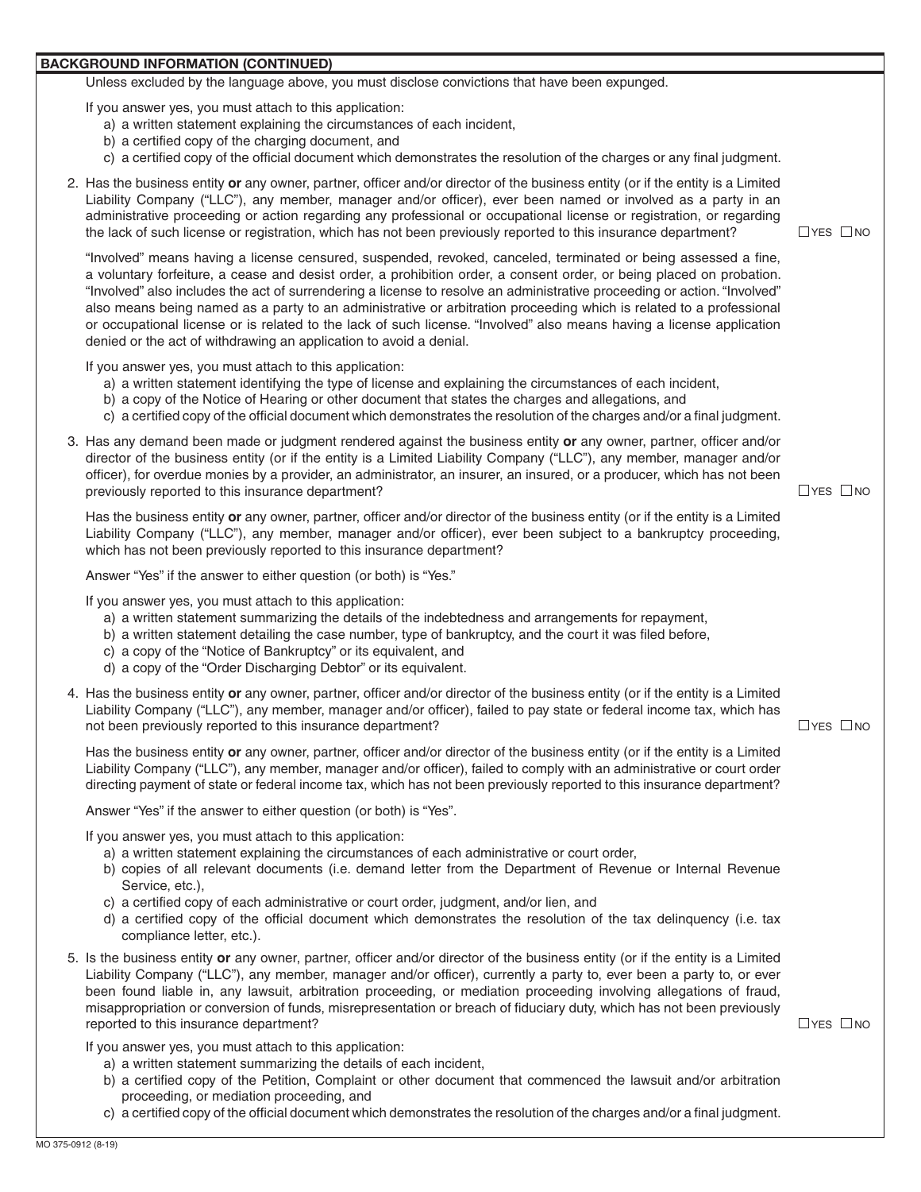## **BACKGROUND INFORMATION (CONTINUED)**

Unless excluded by the language above, you must disclose convictions that have been expunged.

If you answer yes, you must attach to this application:

- a) a written statement explaining the circumstances of each incident,
- b) a certified copy of the charging document, and
- c) a certified copy of the official document which demonstrates the resolution of the charges or any final judgment.
- "Involved" also includes the act of surrendering a license to resolve an administrative proceeding or action. "Involved" 2. Has the business entity **or** any owner, partner, officer and/or director of the business entity (or if the entity is a Limited Liability Company ("LLC"), any member, manager and/or officer), ever been named or involved as a party in an administrative proceeding or action regarding any professional or occupational license or registration, or regarding the lack of such license or registration, which has not been previously reported to this insurance department?  $\Box$  YES  $\Box$  NO "Involved" means having a license censured, suspended, revoked, canceled, terminated or being assessed a fine, a voluntary forfeiture, a cease and desist order, a prohibition order, a consent order, or being placed on probation. also means being named as a party to an administrative or arbitration proceeding which is related to a professional or occupational license or is related to the lack of such license. "Involved" also means having a license application denied or the act of withdrawing an application to avoid a denial. If you answer yes, you must attach to this application: a) a written statement identifying the type of license and explaining the circumstances of each incident, b) a copy of the Notice of Hearing or other document that states the charges and allegations, and c) a certified copy of the official document which demonstrates the resolution of the charges and/or a final judgment. 3. Has any demand been made or judgment rendered against the business entity **or** any owner, partner, officer and/or director of the business entity (or if the entity is a Limited Liability Company ("LLC"), any member, manager and/or officer), for overdue monies by a provider, an administrator, an insurer, an insured, or a producer, which has not been previously reported to this insurance department?  $\Box$  YES  $\Box$  NO Has the business entity **or** any owner, partner, officer and/or director of the business entity (or if the entity is a Limited Liability Company ("LLC"), any member, manager and/or officer), ever been subject to a bankruptcy proceeding, which has not been previously reported to this insurance department? Answer "Yes" if the answer to either question (or both) is "Yes." If you answer yes, you must attach to this application: a) a written statement summarizing the details of the indebtedness and arrangements for repayment, b) a written statement detailing the case number, type of bankruptcy, and the court it was filed before, c) a copy of the "Notice of Bankruptcy" or its equivalent, and d) a copy of the "Order Discharging Debtor" or its equivalent. 4. Has the business entity **or** any owner, partner, officer and/or director of the business entity (or if the entity is a Limited Liability Company ("LLC"), any member, manager and/or officer), failed to pay state or federal income tax, which has not been previously reported to this insurance department?  $\Box$  YES  $\Box$  NO Has the business entity **or** any owner, partner, officer and/or director of the business entity (or if the entity is a Limited Liability Company ("LLC"), any member, manager and/or officer), failed to comply with an administrative or court order directing payment of state or federal income tax, which has not been previously reported to this insurance department? Answer "Yes" if the answer to either question (or both) is "Yes". If you answer yes, you must attach to this application: a) a written statement explaining the circumstances of each administrative or court order, b) copies of all relevant documents (i.e. demand letter from the Department of Revenue or Internal Revenue Service, etc.), c) a certified copy of each administrative or court order, judgment, and/or lien, and d) a certified copy of the official document which demonstrates the resolution of the tax delinquency (i.e. tax compliance letter, etc.). 5. Is the business entity **or** any owner, partner, officer and/or director of the business entity (or if the entity is a Limited Liability Company ("LLC"), any member, manager and/or officer), currently a party to, ever been a party to, or ever been found liable in, any lawsuit, arbitration proceeding, or mediation proceeding involving allegations of fraud, misappropriation or conversion of funds, misrepresentation or breach of fiduciary duty, which has not been previously reported to this insurance department?  $\Box$  YES  $\Box$  NO If you answer yes, you must attach to this application: a) a written statement summarizing the details of each incident, b) a certified copy of the Petition, Complaint or other document that commenced the lawsuit and/or arbitration
	- proceeding, or mediation proceeding, and
	- c) a certified copy of the official document which demonstrates the resolution of the charges and/or a final judgment.